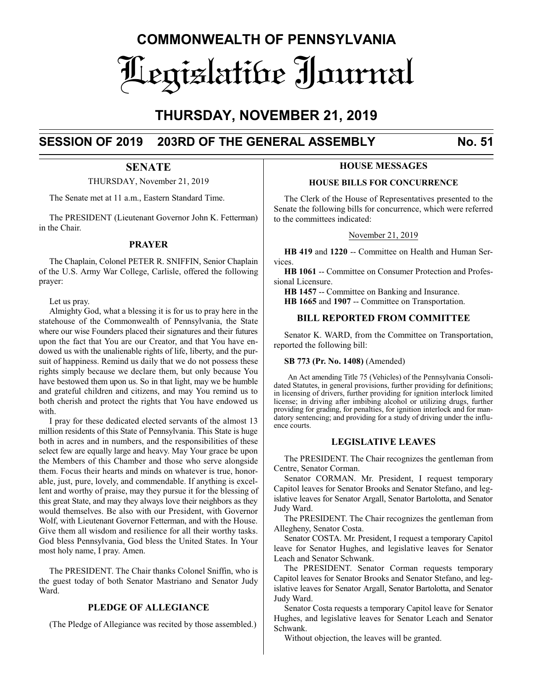# **COMMONWEALTH OF PENNSYLVANIA** Legislative Journal

# **THURSDAY, NOVEMBER 21, 2019**

# **SESSION OF 2019 203RD OF THE GENERAL ASSEMBLY No. 51**

# **SENATE**

THURSDAY, November 21, 2019

The Senate met at 11 a.m., Eastern Standard Time.

The PRESIDENT (Lieutenant Governor John K. Fetterman) in the Chair.

# **PRAYER**

The Chaplain, Colonel PETER R. SNIFFIN, Senior Chaplain of the U.S. Army War College, Carlisle, offered the following prayer:

Let us pray.

Almighty God, what a blessing it is for us to pray here in the statehouse of the Commonwealth of Pennsylvania, the State where our wise Founders placed their signatures and their futures upon the fact that You are our Creator, and that You have endowed us with the unalienable rights of life, liberty, and the pursuit of happiness. Remind us daily that we do not possess these rights simply because we declare them, but only because You have bestowed them upon us. So in that light, may we be humble and grateful children and citizens, and may You remind us to both cherish and protect the rights that You have endowed us with.

I pray for these dedicated elected servants of the almost 13 million residents of this State of Pennsylvania. This State is huge both in acres and in numbers, and the responsibilities of these select few are equally large and heavy. May Your grace be upon the Members of this Chamber and those who serve alongside them. Focus their hearts and minds on whatever is true, honorable, just, pure, lovely, and commendable. If anything is excellent and worthy of praise, may they pursue it for the blessing of this great State, and may they always love their neighbors as they would themselves. Be also with our President, with Governor Wolf, with Lieutenant Governor Fetterman, and with the House. Give them all wisdom and resilience for all their worthy tasks. God bless Pennsylvania, God bless the United States. In Your most holy name, I pray. Amen.

The PRESIDENT. The Chair thanks Colonel Sniffin, who is the guest today of both Senator Mastriano and Senator Judy Ward.

### **PLEDGE OF ALLEGIANCE**

(The Pledge of Allegiance was recited by those assembled.)

### **HOUSE MESSAGES**

#### **HOUSE BILLS FOR CONCURRENCE**

The Clerk of the House of Representatives presented to the Senate the following bills for concurrence, which were referred to the committees indicated:

#### November 21, 2019

**HB 419** and **1220** -- Committee on Health and Human Services.

**HB 1061** -- Committee on Consumer Protection and Professional Licensure.

**HB 1457** -- Committee on Banking and Insurance. **HB 1665** and **1907** -- Committee on Transportation.

### **BILL REPORTED FROM COMMITTEE**

Senator K. WARD, from the Committee on Transportation, reported the following bill:

#### **SB 773 (Pr. No. 1408)** (Amended)

An Act amending Title 75 (Vehicles) of the Pennsylvania Consolidated Statutes, in general provisions, further providing for definitions; in licensing of drivers, further providing for ignition interlock limited license; in driving after imbibing alcohol or utilizing drugs, further providing for grading, for penalties, for ignition interlock and for mandatory sentencing; and providing for a study of driving under the influence courts.

#### **LEGISLATIVE LEAVES**

The PRESIDENT. The Chair recognizes the gentleman from Centre, Senator Corman.

Senator CORMAN. Mr. President, I request temporary Capitol leaves for Senator Brooks and Senator Stefano, and legislative leaves for Senator Argall, Senator Bartolotta, and Senator Judy Ward.

The PRESIDENT. The Chair recognizes the gentleman from Allegheny, Senator Costa.

Senator COSTA. Mr. President, I request a temporary Capitol leave for Senator Hughes, and legislative leaves for Senator Leach and Senator Schwank.

The PRESIDENT. Senator Corman requests temporary Capitol leaves for Senator Brooks and Senator Stefano, and legislative leaves for Senator Argall, Senator Bartolotta, and Senator Judy Ward.

Senator Costa requests a temporary Capitol leave for Senator Hughes, and legislative leaves for Senator Leach and Senator Schwank.

Without objection, the leaves will be granted.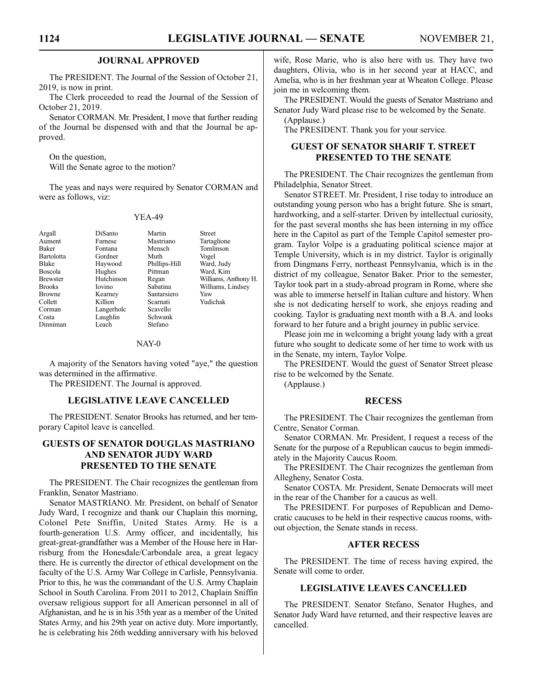#### **JOURNAL APPROVED**

The PRESIDENT. The Journal of the Session of October 21, 2019, is now in print.

The Clerk proceeded to read the Journal of the Session of October 21, 2019.

Senator CORMAN. Mr. President, I move that further reading of the Journal be dispensed with and that the Journal be approved.

On the question, Will the Senate agree to the motion?

The yeas and nays were required by Senator CORMAN and were as follows, viz:

#### YEA-49

Dinniman

Aument Farnese Mastriano Tartaglione<br>
Baker Fontana Mensch Tomlinson Bartolotta Gordner Muth Vogel Blake Haywood Phillips-Hill Ward, Judy Browne Kearney Santarsiero Yaw<br>Collett Killion Scarnati Yudi Corman Langerholc Scavello<br>
Costa Laughlin Schwank Laughlin Schwan<br>Leach Stefano

Argall DiSanto Martin Street Tomlinson<br>Vogel Ward, Kim Brewster Hutchinson Regan Williams, Anthony H.<br>Brooks Iovino Sabatina Williams, Lindsev Williams, Lindsey Yudichak

#### NAY-0

A majority of the Senators having voted "aye," the question was determined in the affirmative.

The PRESIDENT. The Journal is approved.

#### **LEGISLATIVE LEAVE CANCELLED**

The PRESIDENT. Senator Brooks has returned, and her temporary Capitol leave is cancelled.

#### **GUESTS OF SENATOR DOUGLAS MASTRIANO AND SENATOR JUDY WARD PRESENTED TO THE SENATE**

The PRESIDENT. The Chair recognizes the gentleman from Franklin, Senator Mastriano.

Senator MASTRIANO. Mr. President, on behalf of Senator Judy Ward, I recognize and thank our Chaplain this morning, Colonel Pete Sniffin, United States Army. He is a fourth-generation U.S. Army officer, and incidentally, his great-great-grandfather was a Member of the House here in Harrisburg from the Honesdale/Carbondale area, a great legacy there. He is currently the director of ethical development on the faculty of the U.S. Army War College in Carlisle, Pennsylvania. Prior to this, he was the commandant of the U.S. Army Chaplain School in South Carolina. From 2011 to 2012, Chaplain Sniffin oversaw religious support for all American personnel in all of Afghanistan, and he is in his 35th year as a member of the United States Army, and his 29th year on active duty. More importantly, he is celebrating his 26th wedding anniversary with his beloved

wife, Rose Marie, who is also here with us. They have two daughters, Olivia, who is in her second year at HACC, and Amelia, who is in her freshman year at Wheaton College. Please join me in welcoming them.

The PRESIDENT. Would the guests of Senator Mastriano and Senator Judy Ward please rise to be welcomed by the Senate.

(Applause.)

The PRESIDENT. Thank you for your service.

### **GUEST OF SENATOR SHARIF T. STREET PRESENTED TO THE SENATE**

The PRESIDENT. The Chair recognizes the gentleman from Philadelphia, Senator Street.

Senator STREET. Mr. President, I rise today to introduce an outstanding young person who has a bright future. She is smart, hardworking, and a self-starter. Driven by intellectual curiosity, for the past several months she has been interning in my office here in the Capitol as part of the Temple Capitol semester program. Taylor Volpe is a graduating political science major at Temple University, which is in my district. Taylor is originally from Dingmans Ferry, northeast Pennsylvania, which is in the district of my colleague, Senator Baker. Prior to the semester, Taylor took part in a study-abroad program in Rome, where she was able to immerse herself in Italian culture and history. When she is not dedicating herself to work, she enjoys reading and cooking. Taylor is graduating next month with a B.A. and looks forward to her future and a bright journey in public service.

Please join me in welcoming a bright young lady with a great future who sought to dedicate some of her time to work with us in the Senate, my intern, Taylor Volpe.

The PRESIDENT. Would the guest of Senator Street please rise to be welcomed by the Senate.

(Applause.)

### **RECESS**

The PRESIDENT. The Chair recognizes the gentleman from Centre, Senator Corman.

Senator CORMAN. Mr. President, I request a recess of the Senate for the purpose of a Republican caucus to begin immediately in the Majority Caucus Room.

The PRESIDENT. The Chair recognizes the gentleman from Allegheny, Senator Costa.

Senator COSTA. Mr. President, Senate Democrats will meet in the rear of the Chamber for a caucus as well.

The PRESIDENT. For purposes of Republican and Democratic caucuses to be held in their respective caucus rooms, without objection, the Senate stands in recess.

#### **AFTER RECESS**

The PRESIDENT. The time of recess having expired, the Senate will come to order.

#### **LEGISLATIVE LEAVES CANCELLED**

The PRESIDENT. Senator Stefano, Senator Hughes, and Senator Judy Ward have returned, and their respective leaves are cancelled.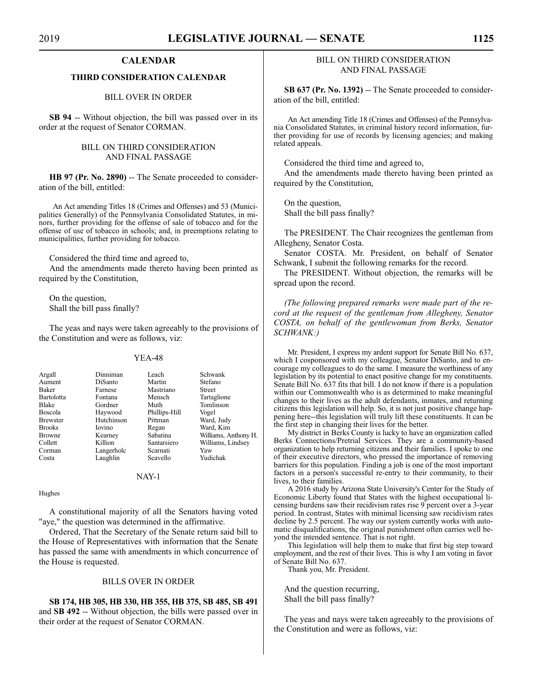#### **CALENDAR**

#### **THIRD CONSIDERATION CALENDAR**

BILL OVER IN ORDER

**SB 94** -- Without objection, the bill was passed over in its order at the request of Senator CORMAN.

#### BILL ON THIRD CONSIDERATION AND FINAL PASSAGE

**HB 97 (Pr. No. 2890)** -- The Senate proceeded to consideration of the bill, entitled:

An Act amending Titles 18 (Crimes and Offenses) and 53 (Municipalities Generally) of the Pennsylvania Consolidated Statutes, in minors, further providing for the offense of sale of tobacco and for the offense of use of tobacco in schools; and, in preemptions relating to municipalities, further providing for tobacco.

Considered the third time and agreed to,

And the amendments made thereto having been printed as required by the Constitution,

On the question, Shall the bill pass finally?

The yeas and nays were taken agreeably to the provisions of the Constitution and were as follows, viz:

#### YEA-48

| Argall          | Dinniman       | Leach         | Schwank              |
|-----------------|----------------|---------------|----------------------|
| Aument          | <b>DiSanto</b> | Martin        | Stefano              |
| <b>Baker</b>    | Farnese        | Mastriano     | <b>Street</b>        |
| Bartolotta      | Fontana        | Mensch        | Tartaglione          |
| <b>Blake</b>    | Gordner        | Muth          | Tomlinson            |
| Boscola         | Haywood        | Phillips-Hill | Vogel                |
| <b>Brewster</b> | Hutchinson     | Pittman       | Ward, Judy           |
| <b>Brooks</b>   | Iovino         | Regan         | Ward, Kim            |
| <b>Browne</b>   | Kearney        | Sabatina      | Williams, Anthony H. |
| Collett         | Killion        | Santarsiero   | Williams, Lindsey    |
| Corman          | Langerholc     | Scarnati      | Yaw                  |
| Costa           | Laughlin       | Scavello      | Yudichak             |
|                 |                |               |                      |

#### NAY-1

Hughes

A constitutional majority of all the Senators having voted "aye," the question was determined in the affirmative.

Ordered, That the Secretary of the Senate return said bill to the House of Representatives with information that the Senate has passed the same with amendments in which concurrence of the House is requested.

#### BILLS OVER IN ORDER

**SB 174, HB 305, HB 330, HB 355, HB 375, SB 485, SB 491** and **SB 492** -- Without objection, the bills were passed over in their order at the request of Senator CORMAN.

#### BILL ON THIRD CONSIDERATION AND FINAL PASSAGE

**SB 637 (Pr. No. 1392)** -- The Senate proceeded to consideration of the bill, entitled:

An Act amending Title 18 (Crimes and Offenses) of the Pennsylvania Consolidated Statutes, in criminal history record information, further providing for use of records by licensing agencies; and making related appeals.

Considered the third time and agreed to,

And the amendments made thereto having been printed as required by the Constitution,

On the question, Shall the bill pass finally?

The PRESIDENT. The Chair recognizes the gentleman from Allegheny, Senator Costa.

Senator COSTA. Mr. President, on behalf of Senator Schwank, I submit the following remarks for the record.

The PRESIDENT. Without objection, the remarks will be spread upon the record.

*(The following prepared remarks were made part of the record at the request of the gentleman from Allegheny, Senator COSTA, on behalf of the gentlewoman from Berks, Senator SCHWANK:)*

Mr. President, I express my ardent support for Senate Bill No. 637, which I cosponsored with my colleague, Senator DiSanto, and to encourage my colleagues to do the same. I measure the worthiness of any legislation by its potential to enact positive change for my constituents. Senate Bill No. 637 fits that bill. I do not know if there is a population within our Commonwealth who is as determined to make meaningful changes to their lives as the adult defendants, inmates, and returning citizens this legislation will help. So, it is not just positive change happening here--this legislation will truly lift these constituents. It can be the first step in changing their lives for the better.

My district in Berks County is lucky to have an organization called Berks Connections/Pretrial Services. They are a community-based organization to help returning citizens and their families. I spoke to one of their executive directors, who pressed the importance of removing barriers for this population. Finding a job is one of the most important factors in a person's successful re-entry to their community, to their lives, to their families.

A 2016 study by Arizona State University's Center for the Study of Economic Liberty found that States with the highest occupational licensing burdens saw their recidivism rates rise 9 percent over a 3-year period. In contrast, States with minimal licensing saw recidivism rates decline by 2.5 percent. The way our system currently works with automatic disqualifications, the original punishment often carries well beyond the intended sentence. That is not right.

This legislation will help them to make that first big step toward employment, and the rest of their lives. This is why I am voting in favor of Senate Bill No. 637.

Thank you, Mr. President.

And the question recurring, Shall the bill pass finally?

The yeas and nays were taken agreeably to the provisions of the Constitution and were as follows, viz: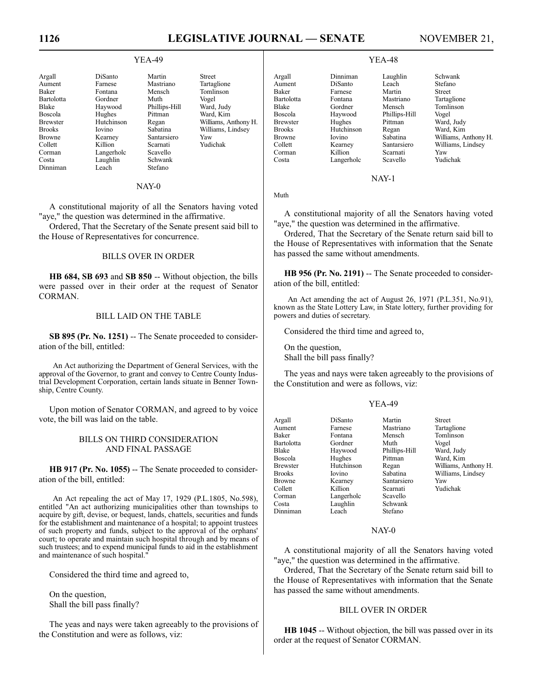# 1126 **LEGISLATIVE JOURNAL — SENATE** NOVEMBER 21,

#### YEA-49

| Argall          | DiSanto       | Martin        | <b>Street</b>     |
|-----------------|---------------|---------------|-------------------|
| Aument          | Farnese       | Mastriano     | Tartaglione       |
| Baker           | Fontana       | Mensch        | Tomlinson         |
| Bartolotta      | Gordner       | Muth          | Vogel             |
| <b>Blake</b>    | Haywood       | Phillips-Hill | Ward, Judy        |
| Boscola         | Hughes        | Pittman       | Ward, Kim         |
| <b>Brewster</b> | Hutchinson    | Regan         | Williams, Anthony |
| <b>Brooks</b>   | <b>Iovino</b> | Sabatina      | Williams, Lindsey |
| <b>Browne</b>   | Kearney       | Santarsiero   | Yaw               |
| Collett         | Killion       | Scarnati      | Yudichak          |
| Corman          | Langerholc    | Scavello      |                   |
| Costa           | Laughlin      | Schwank       |                   |
| Dinniman        | I each        | Stefano       |                   |

# NAY-0

A constitutional majority of all the Senators having voted "aye," the question was determined in the affirmative.

Ordered, That the Secretary of the Senate present said bill to the House of Representatives for concurrence.

#### BILLS OVER IN ORDER

**HB 684, SB 693** and **SB 850** -- Without objection, the bills were passed over in their order at the request of Senator CORMAN.

#### BILL LAID ON THE TABLE

**SB 895 (Pr. No. 1251)** -- The Senate proceeded to consideration of the bill, entitled:

An Act authorizing the Department of General Services, with the approval of the Governor, to grant and convey to Centre County Industrial Development Corporation, certain lands situate in Benner Township, Centre County.

Upon motion of Senator CORMAN, and agreed to by voice vote, the bill was laid on the table.

#### BILLS ON THIRD CONSIDERATION AND FINAL PASSAGE

**HB 917 (Pr. No. 1055)** -- The Senate proceeded to consideration of the bill, entitled:

An Act repealing the act of May 17, 1929 (P.L.1805, No.598), entitled "An act authorizing municipalities other than townships to acquire by gift, devise, or bequest, lands, chattels, securities and funds for the establishment and maintenance of a hospital; to appoint trustees of such property and funds, subject to the approval of the orphans' court; to operate and maintain such hospital through and by means of such trustees; and to expend municipal funds to aid in the establishment and maintenance of such hospital."

Considered the third time and agreed to,

On the question, Shall the bill pass finally?

The yeas and nays were taken agreeably to the provisions of the Constitution and were as follows, viz:

#### YEA-48

| Argall     | Dinniman   | Laughlin      | Schwank              |
|------------|------------|---------------|----------------------|
| Aument     | DiSanto    | Leach         | Stefano              |
| Baker      | Farnese    | Martin        | <b>Street</b>        |
| Bartolotta | Fontana    | Mastriano     | Tartaglione          |
| Blake      | Gordner    | Mensch        | Tomlinson            |
| Boscola    | Haywood    | Phillips-Hill | Vogel                |
| Brewster   | Hughes     | Pittman       | Ward, Judy           |
| Brooks     | Hutchinson | Regan         | Ward, Kim            |
| Browne     | Iovino     | Sabatina      | Williams, Anthony H. |
| Collett    | Kearney    | Santarsiero   | Williams, Lindsey    |
| Corman     | Killion    | Scarnati      | Yaw                  |
| Costa      | Langerholc | Scavello      | Yudichak             |
|            |            |               |                      |

NAY-1

Muth

A constitutional majority of all the Senators having voted "aye," the question was determined in the affirmative.

Ordered, That the Secretary of the Senate return said bill to the House of Representatives with information that the Senate has passed the same without amendments.

**HB 956 (Pr. No. 2191)** -- The Senate proceeded to consideration of the bill, entitled:

An Act amending the act of August 26, 1971 (P.L.351, No.91), known as the State Lottery Law, in State lottery, further providing for powers and duties of secretary.

Considered the third time and agreed to,

On the question, Shall the bill pass finally?

The yeas and nays were taken agreeably to the provisions of the Constitution and were as follows, viz:

#### YEA-49

| Williams, Anthony H. |
|----------------------|
| Williams, Lindsey    |
|                      |
|                      |
|                      |
|                      |
|                      |
|                      |

#### NAY-0

A constitutional majority of all the Senators having voted "aye," the question was determined in the affirmative.

Ordered, That the Secretary of the Senate return said bill to the House of Representatives with information that the Senate has passed the same without amendments.

#### BILL OVER IN ORDER

**HB 1045** -- Without objection, the bill was passed over in its order at the request of Senator CORMAN.

Williams, Anthony H.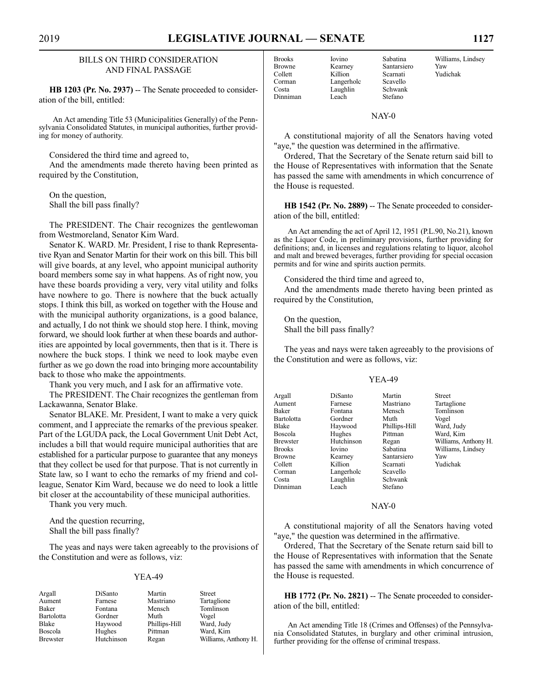#### BILLS ON THIRD CONSIDERATION AND FINAL PASSAGE

**HB 1203 (Pr. No. 2937)** -- The Senate proceeded to consideration of the bill, entitled:

An Act amending Title 53 (Municipalities Generally) of the Pennsylvania Consolidated Statutes, in municipal authorities, further providing for money of authority.

Considered the third time and agreed to,

And the amendments made thereto having been printed as required by the Constitution,

On the question, Shall the bill pass finally?

The PRESIDENT. The Chair recognizes the gentlewoman from Westmoreland, Senator Kim Ward.

Senator K. WARD. Mr. President, I rise to thank Representative Ryan and Senator Martin for their work on this bill. This bill will give boards, at any level, who appoint municipal authority board members some say in what happens. As of right now, you have these boards providing a very, very vital utility and folks have nowhere to go. There is nowhere that the buck actually stops. I think this bill, as worked on together with the House and with the municipal authority organizations, is a good balance, and actually, I do not think we should stop here. I think, moving forward, we should look further at when these boards and authorities are appointed by local governments, then that is it. There is nowhere the buck stops. I think we need to look maybe even further as we go down the road into bringing more accountability back to those who make the appointments.

Thank you very much, and I ask for an affirmative vote.

The PRESIDENT. The Chair recognizes the gentleman from Lackawanna, Senator Blake.

Senator BLAKE. Mr. President, I want to make a very quick comment, and I appreciate the remarks of the previous speaker. Part of the LGUDA pack, the Local Government Unit Debt Act, includes a bill that would require municipal authorities that are established for a particular purpose to guarantee that any moneys that they collect be used for that purpose. That is not currently in State law, so I want to echo the remarks of my friend and colleague, Senator Kim Ward, because we do need to look a little bit closer at the accountability of these municipal authorities.

Thank you very much.

And the question recurring, Shall the bill pass finally?

The yeas and nays were taken agreeably to the provisions of the Constitution and were as follows, viz:

#### YEA-49

**Tartaglione** Tomlinson<br>Vogel

Ward, Judy Ward, Kim Williams, Anthony H.

| Argall     | DiSanto    | Martin        | Street |
|------------|------------|---------------|--------|
| Aument     | Farnese    | Mastriano     | Tartag |
| Baker      | Fontana    | Mensch        | Tomli  |
| Bartolotta | Gordner    | Muth          | Vogel  |
| Blake      | Haywood    | Phillips-Hill | Ward.  |
| Boscola    | Hughes     | Pittman       | Ward.  |
| Brewster   | Hutchinson | Regan         | Willia |
|            |            |               |        |

Browne Kearney Santarsiero<br>
Collett Killion Scarnati Corman Langerholc Scavello<br>
Costa Laughlin Schwank Dinniman Leach

Killion Scarnati Yudichak Laughlin Schwan<br>Leach Stefano

Brooks Iovino Sabatina Williams, Lindsey<br>Browne Kearney Santarsiero Yaw

NAY-0

A constitutional majority of all the Senators having voted "aye," the question was determined in the affirmative.

Ordered, That the Secretary of the Senate return said bill to the House of Representatives with information that the Senate has passed the same with amendments in which concurrence of the House is requested.

**HB 1542 (Pr. No. 2889)** -- The Senate proceeded to consideration of the bill, entitled:

An Act amending the act of April 12, 1951 (P.L.90, No.21), known as the Liquor Code, in preliminary provisions, further providing for definitions; and, in licenses and regulations relating to liquor, alcohol and malt and brewed beverages, further providing for special occasion permits and for wine and spirits auction permits.

Considered the third time and agreed to,

And the amendments made thereto having been printed as required by the Constitution,

On the question, Shall the bill pass finally?

The yeas and nays were taken agreeably to the provisions of the Constitution and were as follows, viz:

#### YEA-49

|                   | DiSanto       | Martin        | Street               |
|-------------------|---------------|---------------|----------------------|
| Argall            |               |               |                      |
| Aument            | Farnese       | Mastriano     | Tartaglione          |
| Baker             | Fontana       | Mensch        | Tomlinson            |
| <b>Bartolotta</b> | Gordner       | Muth          | Vogel                |
| <b>Blake</b>      | Haywood       | Phillips-Hill | Ward, Judy           |
| <b>Boscola</b>    | Hughes        | Pittman       | Ward, Kim            |
| <b>Brewster</b>   | Hutchinson    | Regan         | Williams, Anthony H. |
| <b>Brooks</b>     | <b>Iovino</b> | Sabatina      | Williams, Lindsey    |
| <b>Browne</b>     | Kearney       | Santarsiero   | Yaw                  |
| Collett           | Killion       | Scarnati      | Yudichak             |
| Corman            | Langerholc    | Scavello      |                      |
| Costa             | Laughlin      | Schwank       |                      |
| Dinniman          | Leach         | Stefano       |                      |

#### NAY-0

A constitutional majority of all the Senators having voted "aye," the question was determined in the affirmative.

Ordered, That the Secretary of the Senate return said bill to the House of Representatives with information that the Senate has passed the same with amendments in which concurrence of the House is requested.

**HB 1772 (Pr. No. 2821)** -- The Senate proceeded to consideration of the bill, entitled:

An Act amending Title 18 (Crimes and Offenses) of the Pennsylvania Consolidated Statutes, in burglary and other criminal intrusion, further providing for the offense of criminal trespass.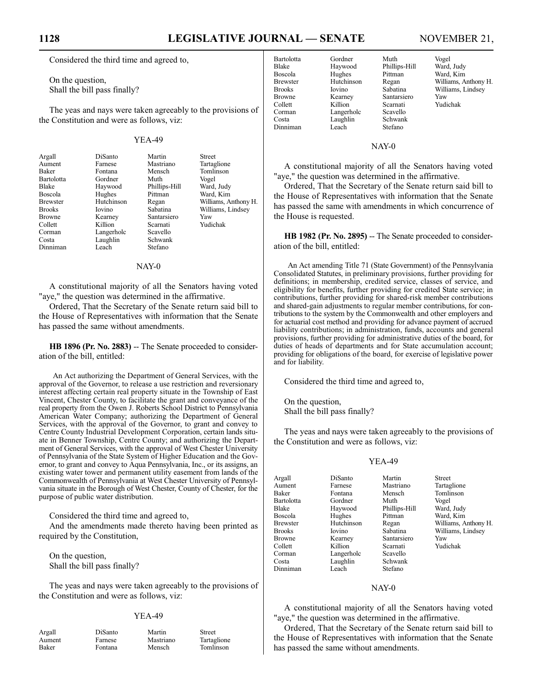## **1128 LEGISLATIVE JOURNAL — SENATE** NOVEMBER 21,

Considered the third time and agreed to,

On the question, Shall the bill pass finally?

The yeas and nays were taken agreeably to the provisions of the Constitution and were as follows, viz:

#### YEA-49

| Argall          | DiSanto       | Martin        | <b>Street</b>        |
|-----------------|---------------|---------------|----------------------|
| Aument          | Farnese       | Mastriano     | Tartaglione          |
| <b>Baker</b>    | Fontana       | Mensch        | Tomlinson            |
| Bartolotta      | Gordner       | Muth          | Vogel                |
| <b>Blake</b>    | Haywood       | Phillips-Hill | Ward, Judy           |
| Boscola         | Hughes        | Pittman       | Ward, Kim            |
| <b>Brewster</b> | Hutchinson    | Regan         | Williams, Anthony H. |
| <b>Brooks</b>   | <b>Iovino</b> | Sabatina      | Williams, Lindsey    |
| <b>Browne</b>   | Kearney       | Santarsiero   | Yaw                  |
| Collett         | Killion       | Scarnati      | Yudichak             |
| Corman          | Langerholc    | Scavello      |                      |
| Costa           | Laughlin      | Schwank       |                      |
| Dinniman        | I each        | Stefano       |                      |

#### NAY-0

A constitutional majority of all the Senators having voted "aye," the question was determined in the affirmative.

Ordered, That the Secretary of the Senate return said bill to the House of Representatives with information that the Senate has passed the same without amendments.

**HB 1896 (Pr. No. 2883)** -- The Senate proceeded to consideration of the bill, entitled:

An Act authorizing the Department of General Services, with the approval of the Governor, to release a use restriction and reversionary interest affecting certain real property situate in the Township of East Vincent, Chester County, to facilitate the grant and conveyance of the real property from the Owen J. Roberts School District to Pennsylvania American Water Company; authorizing the Department of General Services, with the approval of the Governor, to grant and convey to Centre County Industrial Development Corporation, certain lands situate in Benner Township, Centre County; and authorizing the Department of General Services, with the approval of West Chester University of Pennsylvania of the State System of Higher Education and the Governor, to grant and convey to Aqua Pennsylvania, Inc., or its assigns, an existing water tower and permanent utility easement from lands of the Commonwealth of Pennsylvania at West Chester University of Pennsylvania situate in the Borough of West Chester, County of Chester, for the purpose of public water distribution.

Considered the third time and agreed to,

And the amendments made thereto having been printed as required by the Constitution,

On the question, Shall the bill pass finally?

The yeas and nays were taken agreeably to the provisions of the Constitution and were as follows, viz:

#### YEA-49

Argall DiSanto Martin Street Aument Farnese Mastriano Tartaglione<br>
Raker Fontana Mensch Tomlinson Fontana Mensch Tomlinson

Corman Langerholc Scavello<br>
Costa Laughlin Schwanl Dinniman

Bartolotta Gordner Muth Vogel Haywood Phillips-Hill<br>Hughes Pittman Boscola Hughes Pittman Ward, Kim Browne Kearney Santarsiero Yaw<br>Collett Killion Scarnati Yudi Laughlin Schwank<br>Leach Stefano

Brewster Hutchinson Regan Williams, Anthony H.<br>Brooks Iovino Sabatina Williams, Lindsey Brooks Iovino Sabatina Williams, Lindsey<br>Browne Kearney Santarsiero Yaw Yudichak

#### NAY-0

A constitutional majority of all the Senators having voted "aye," the question was determined in the affirmative.

Ordered, That the Secretary of the Senate return said bill to the House of Representatives with information that the Senate has passed the same with amendments in which concurrence of the House is requested.

**HB 1982 (Pr. No. 2895)** -- The Senate proceeded to consideration of the bill, entitled:

An Act amending Title 71 (State Government) of the Pennsylvania Consolidated Statutes, in preliminary provisions, further providing for definitions; in membership, credited service, classes of service, and eligibility for benefits, further providing for credited State service; in contributions, further providing for shared-risk member contributions and shared-gain adjustments to regular member contributions, for contributions to the system by the Commonwealth and other employers and for actuarial cost method and providing for advance payment of accrued liability contributions; in administration, funds, accounts and general provisions, further providing for administrative duties of the board, for duties of heads of departments and for State accumulation account; providing for obligations of the board, for exercise of legislative power and for liability.

Considered the third time and agreed to,

On the question, Shall the bill pass finally?

The yeas and nays were taken agreeably to the provisions of the Constitution and were as follows, viz:

#### YEA-49

| Argall     | DiSanto       | Martin        | <b>Street</b>        |
|------------|---------------|---------------|----------------------|
| Aument     | Farnese       | Mastriano     | Tartaglione          |
| Baker      | Fontana       | Mensch        | Tomlinson            |
| Bartolotta | Gordner       | Muth          | Vogel                |
| Blake      | Haywood       | Phillips-Hill | Ward, Judy           |
| Boscola    | Hughes        | Pittman       | Ward, Kim            |
| Brewster   | Hutchinson    | Regan         | Williams, Anthony H. |
| Brooks     | <b>Iovino</b> | Sabatina      | Williams, Lindsey    |
| Browne     | Kearney       | Santarsiero   | Yaw                  |
| Collett    | Killion       | Scarnati      | Yudichak             |
| Corman     | Langerholc    | Scavello      |                      |
| Costa      | Laughlin      | Schwank       |                      |
| Dinniman   | Leach         | Stefano       |                      |
|            |               |               |                      |

#### NAY-0

A constitutional majority of all the Senators having voted "aye," the question was determined in the affirmative.

Ordered, That the Secretary of the Senate return said bill to the House of Representatives with information that the Senate has passed the same without amendments.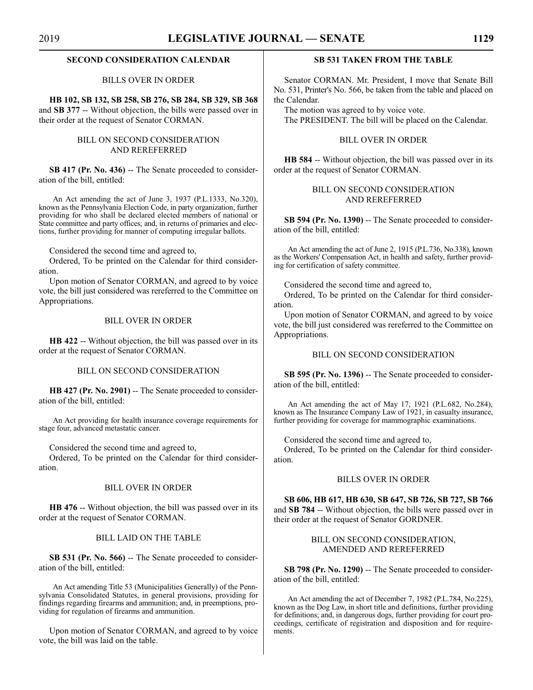#### **SECOND CONSIDERATION CALENDAR**

#### BILLS OVER IN ORDER

**HB 102, SB 132, SB 258, SB 276, SB 284, SB 329, SB 368** and **SB 377** -- Without objection, the bills were passed over in their order at the request of Senator CORMAN.

#### BILL ON SECOND CONSIDERATION AND REREFERRED

**SB 417 (Pr. No. 436)** -- The Senate proceeded to consideration of the bill, entitled:

An Act amending the act of June 3, 1937 (P.L.1333, No.320), known as the Pennsylvania Election Code, in party organization, further providing for who shall be declared elected members of national or State committee and party offices; and, in returns of primaries and elections, further providing for manner of computing irregular ballots.

Considered the second time and agreed to,

Ordered, To be printed on the Calendar for third consideration.

Upon motion of Senator CORMAN, and agreed to by voice vote, the bill just considered was rereferred to the Committee on Appropriations.

#### BILL OVER IN ORDER

**HB 422** -- Without objection, the bill was passed over in its order at the request of Senator CORMAN.

#### BILL ON SECOND CONSIDERATION

**HB 427 (Pr. No. 2901)** -- The Senate proceeded to consideration of the bill, entitled:

An Act providing for health insurance coverage requirements for stage four, advanced metastatic cancer.

Considered the second time and agreed to,

Ordered, To be printed on the Calendar for third consideration.

#### BILL OVER IN ORDER

**HB 476** -- Without objection, the bill was passed over in its order at the request of Senator CORMAN.

#### BILL LAID ON THE TABLE

**SB 531 (Pr. No. 566)** -- The Senate proceeded to consideration of the bill, entitled:

An Act amending Title 53 (Municipalities Generally) of the Pennsylvania Consolidated Statutes, in general provisions, providing for findings regarding firearms and ammunition; and, in preemptions, providing for regulation of firearms and ammunition.

Upon motion of Senator CORMAN, and agreed to by voice vote, the bill was laid on the table.

#### **SB 531 TAKEN FROM THE TABLE**

Senator CORMAN. Mr. President, I move that Senate Bill No. 531, Printer's No. 566, be taken from the table and placed on the Calendar.

The motion was agreed to by voice vote. The PRESIDENT. The bill will be placed on the Calendar.

#### BILL OVER IN ORDER

**HB 584** -- Without objection, the bill was passed over in its order at the request of Senator CORMAN.

#### BILL ON SECOND CONSIDERATION AND REREFERRED

SB 594 (Pr. No. 1390) -- The Senate proceeded to consideration of the bill, entitled:

An Act amending the act of June 2, 1915 (P.L.736, No.338), known as the Workers' Compensation Act, in health and safety, further providing for certification of safety committee.

Considered the second time and agreed to,

Ordered, To be printed on the Calendar for third consideration.

Upon motion of Senator CORMAN, and agreed to by voice vote, the bill just considered was rereferred to the Committee on Appropriations.

#### BILL ON SECOND CONSIDERATION

**SB 595 (Pr. No. 1396)** -- The Senate proceeded to consideration of the bill, entitled:

An Act amending the act of May 17, 1921 (P.L.682, No.284), known as The Insurance Company Law of 1921, in casualty insurance, further providing for coverage for mammographic examinations.

Considered the second time and agreed to,

Ordered, To be printed on the Calendar for third consideration.

#### BILLS OVER IN ORDER

**SB 606, HB 617, HB 630, SB 647, SB 726, SB 727, SB 766** and **SB 784** -- Without objection, the bills were passed over in their order at the request of Senator GORDNER.

#### BILL ON SECOND CONSIDERATION, AMENDED AND REREFERRED

**SB 798 (Pr. No. 1290)** -- The Senate proceeded to consideration of the bill, entitled:

An Act amending the act of December 7, 1982 (P.L.784, No.225), known as the Dog Law, in short title and definitions, further providing for definitions; and, in dangerous dogs, further providing for court proceedings, certificate of registration and disposition and for requirements.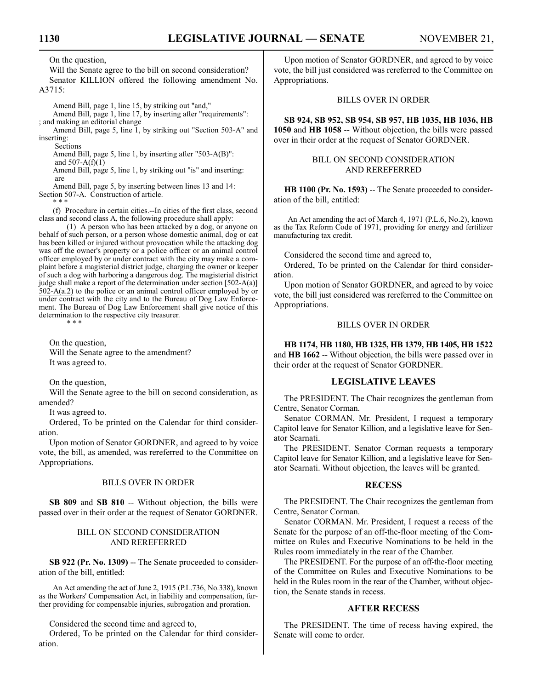On the question,

Will the Senate agree to the bill on second consideration? Senator KILLION offered the following amendment No. A3715:

Amend Bill, page 1, line 15, by striking out "and,"

Amend Bill, page 1, line 17, by inserting after "requirements": ; and making an editorial change

Amend Bill, page 5, line 1, by striking out "Section 503-A" and inserting:

Sections

Amend Bill, page 5, line 1, by inserting after "503-A(B)": and  $507 - A(f)(1)$ 

Amend Bill, page 5, line 1, by striking out "is" and inserting: are

Amend Bill, page 5, by inserting between lines 13 and 14: Section 507-A. Construction of article.

\* \* \*

(f) Procedure in certain cities.--In cities of the first class, second class and second class A, the following procedure shall apply:

(1) A person who has been attacked by a dog, or anyone on behalf of such person, or a person whose domestic animal, dog or cat has been killed or injured without provocation while the attacking dog was off the owner's property or a police officer or an animal control officer employed by or under contract with the city may make a complaint before a magisterial district judge, charging the owner or keeper of such a dog with harboring a dangerous dog. The magisterial district judge shall make a report of the determination under section [502-A(a)]  $502-A(a.2)$  to the police or an animal control officer employed by or under contract with the city and to the Bureau of Dog Law Enforcement. The Bureau of Dog Law Enforcement shall give notice of this determination to the respective city treasurer.

\* \* \*

On the question, Will the Senate agree to the amendment? It was agreed to.

On the question,

Will the Senate agree to the bill on second consideration, as amended?

It was agreed to.

Ordered, To be printed on the Calendar for third consideration.

Upon motion of Senator GORDNER, and agreed to by voice vote, the bill, as amended, was rereferred to the Committee on Appropriations.

#### BILLS OVER IN ORDER

**SB 809** and **SB 810** -- Without objection, the bills were passed over in their order at the request of Senator GORDNER.

#### BILL ON SECOND CONSIDERATION AND REREFERRED

**SB 922 (Pr. No. 1309)** -- The Senate proceeded to consideration of the bill, entitled:

An Act amending the act of June 2, 1915 (P.L.736, No.338), known as the Workers' Compensation Act, in liability and compensation, further providing for compensable injuries, subrogation and proration.

Considered the second time and agreed to,

Ordered, To be printed on the Calendar for third consideration.

Upon motion of Senator GORDNER, and agreed to by voice vote, the bill just considered was rereferred to the Committee on Appropriations.

#### BILLS OVER IN ORDER

**SB 924, SB 952, SB 954, SB 957, HB 1035, HB 1036, HB 1050** and **HB 1058** -- Without objection, the bills were passed over in their order at the request of Senator GORDNER.

#### BILL ON SECOND CONSIDERATION AND REREFERRED

**HB 1100 (Pr. No. 1593)** -- The Senate proceeded to consideration of the bill, entitled:

An Act amending the act of March 4, 1971 (P.L.6, No.2), known as the Tax Reform Code of 1971, providing for energy and fertilizer manufacturing tax credit.

Considered the second time and agreed to,

Ordered, To be printed on the Calendar for third consideration.

Upon motion of Senator GORDNER, and agreed to by voice vote, the bill just considered was rereferred to the Committee on Appropriations.

#### BILLS OVER IN ORDER

**HB 1174, HB 1180, HB 1325, HB 1379, HB 1405, HB 1522** and **HB 1662** -- Without objection, the bills were passed over in their order at the request of Senator GORDNER.

#### **LEGISLATIVE LEAVES**

The PRESIDENT. The Chair recognizes the gentleman from Centre, Senator Corman.

Senator CORMAN. Mr. President, I request a temporary Capitol leave for Senator Killion, and a legislative leave for Senator Scarnati.

The PRESIDENT. Senator Corman requests a temporary Capitol leave for Senator Killion, and a legislative leave for Senator Scarnati. Without objection, the leaves will be granted.

#### **RECESS**

The PRESIDENT. The Chair recognizes the gentleman from Centre, Senator Corman.

Senator CORMAN. Mr. President, I request a recess of the Senate for the purpose of an off-the-floor meeting of the Committee on Rules and Executive Nominations to be held in the Rules room immediately in the rear of the Chamber.

The PRESIDENT. For the purpose of an off-the-floor meeting of the Committee on Rules and Executive Nominations to be held in the Rules room in the rear of the Chamber, without objection, the Senate stands in recess.

### **AFTER RECESS**

The PRESIDENT. The time of recess having expired, the Senate will come to order.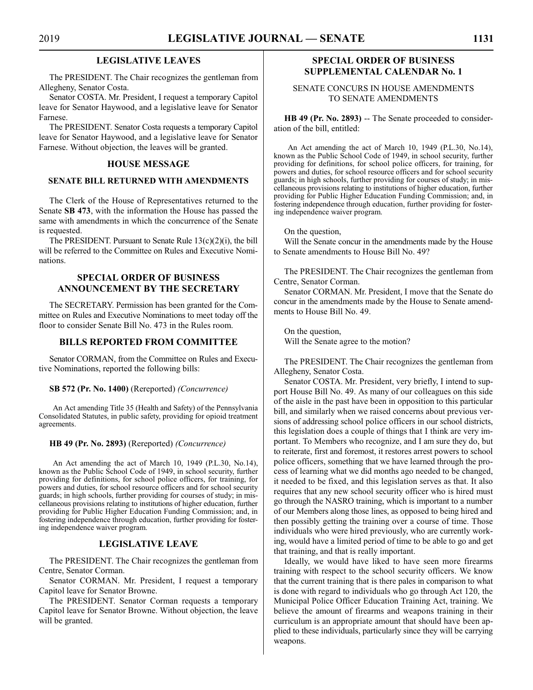#### **LEGISLATIVE LEAVES**

The PRESIDENT. The Chair recognizes the gentleman from Allegheny, Senator Costa.

Senator COSTA. Mr. President, I request a temporary Capitol leave for Senator Haywood, and a legislative leave for Senator Farnese.

The PRESIDENT. Senator Costa requests a temporary Capitol leave for Senator Haywood, and a legislative leave for Senator Farnese. Without objection, the leaves will be granted.

#### **HOUSE MESSAGE**

#### **SENATE BILL RETURNED WITH AMENDMENTS**

The Clerk of the House of Representatives returned to the Senate **SB 473**, with the information the House has passed the same with amendments in which the concurrence of the Senate is requested.

The PRESIDENT. Pursuant to Senate Rule 13(c)(2)(i), the bill will be referred to the Committee on Rules and Executive Nominations.

#### **SPECIAL ORDER OF BUSINESS ANNOUNCEMENT BY THE SECRETARY**

The SECRETARY. Permission has been granted for the Committee on Rules and Executive Nominations to meet today off the floor to consider Senate Bill No. 473 in the Rules room.

#### **BILLS REPORTED FROM COMMITTEE**

Senator CORMAN, from the Committee on Rules and Executive Nominations, reported the following bills:

#### **SB 572 (Pr. No. 1400)** (Rereported) *(Concurrence)*

An Act amending Title 35 (Health and Safety) of the Pennsylvania Consolidated Statutes, in public safety, providing for opioid treatment agreements.

#### **HB 49 (Pr. No. 2893)** (Rereported) *(Concurrence)*

An Act amending the act of March 10, 1949 (P.L.30, No.14), known as the Public School Code of 1949, in school security, further providing for definitions, for school police officers, for training, for powers and duties, for school resource officers and for school security guards; in high schools, further providing for courses of study; in miscellaneous provisions relating to institutions of higher education, further providing for Public Higher Education Funding Commission; and, in fostering independence through education, further providing for fostering independence waiver program.

#### **LEGISLATIVE LEAVE**

The PRESIDENT. The Chair recognizes the gentleman from Centre, Senator Corman.

Senator CORMAN. Mr. President, I request a temporary Capitol leave for Senator Browne.

The PRESIDENT. Senator Corman requests a temporary Capitol leave for Senator Browne. Without objection, the leave will be granted.

### **SPECIAL ORDER OF BUSINESS SUPPLEMENTAL CALENDAR No. 1**

#### SENATE CONCURS IN HOUSE AMENDMENTS TO SENATE AMENDMENTS

**HB 49 (Pr. No. 2893)** -- The Senate proceeded to consideration of the bill, entitled:

An Act amending the act of March 10, 1949 (P.L.30, No.14), known as the Public School Code of 1949, in school security, further providing for definitions, for school police officers, for training, for powers and duties, for school resource officers and for school security guards; in high schools, further providing for courses of study; in miscellaneous provisions relating to institutions of higher education, further providing for Public Higher Education Funding Commission; and, in fostering independence through education, further providing for fostering independence waiver program.

#### On the question,

Will the Senate concur in the amendments made by the House to Senate amendments to House Bill No. 49?

The PRESIDENT. The Chair recognizes the gentleman from Centre, Senator Corman.

Senator CORMAN. Mr. President, I move that the Senate do concur in the amendments made by the House to Senate amendments to House Bill No. 49.

On the question, Will the Senate agree to the motion?

The PRESIDENT. The Chair recognizes the gentleman from Allegheny, Senator Costa.

Senator COSTA. Mr. President, very briefly, I intend to support House Bill No. 49. As many of our colleagues on this side of the aisle in the past have been in opposition to this particular bill, and similarly when we raised concerns about previous versions of addressing school police officers in our school districts, this legislation does a couple of things that I think are very important. To Members who recognize, and I am sure they do, but to reiterate, first and foremost, it restores arrest powers to school police officers, something that we have learned through the process of learning what we did months ago needed to be changed, it needed to be fixed, and this legislation serves as that. It also requires that any new school security officer who is hired must go through the NASRO training, which is important to a number of our Members along those lines, as opposed to being hired and then possibly getting the training over a course of time. Those individuals who were hired previously, who are currently working, would have a limited period of time to be able to go and get that training, and that is really important.

Ideally, we would have liked to have seen more firearms training with respect to the school security officers. We know that the current training that is there pales in comparison to what is done with regard to individuals who go through Act 120, the Municipal Police Officer Education Training Act, training. We believe the amount of firearms and weapons training in their curriculum is an appropriate amount that should have been applied to these individuals, particularly since they will be carrying weapons.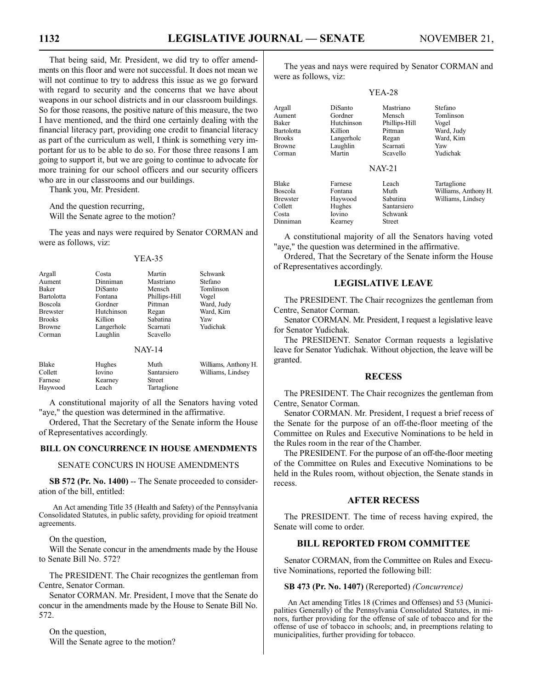That being said, Mr. President, we did try to offer amendments on this floor and were not successful. It does not mean we will not continue to try to address this issue as we go forward with regard to security and the concerns that we have about weapons in our school districts and in our classroom buildings. So for those reasons, the positive nature of this measure, the two I have mentioned, and the third one certainly dealing with the financial literacy part, providing one credit to financial literacy as part of the curriculum as well, I think is something very important for us to be able to do so. For those three reasons I am going to support it, but we are going to continue to advocate for more training for our school officers and our security officers who are in our classrooms and our buildings.

Thank you, Mr. President.

And the question recurring, Will the Senate agree to the motion?

Haywood Leach Tartaglione

The yeas and nays were required by Senator CORMAN and were as follows, viz:

YEA-35

| Argall            | Costa      | Martin        | Schwank              |
|-------------------|------------|---------------|----------------------|
| Aument            | Dinniman   | Mastriano     | Stefano              |
| Baker             | DiSanto    | Mensch        | Tomlinson            |
| <b>Bartolotta</b> | Fontana    | Phillips-Hill | Vogel                |
| <b>Boscola</b>    | Gordner    | Pittman       | Ward, Judy           |
| <b>Brewster</b>   | Hutchinson | Regan         | Ward, Kim            |
| <b>Brooks</b>     | Killion    | Sabatina      | Yaw                  |
| <b>Browne</b>     | Langerholc | Scarnati      | Yudichak             |
| Corman            | Laughlin   | Scavello      |                      |
|                   |            | <b>NAY-14</b> |                      |
| <b>Blake</b>      | Hughes     | Muth          | Williams, Anthony H. |
| Collett           | Iovino     | Santarsiero   | Williams, Lindsey    |
| Farnese           | Kearney    | <b>Street</b> |                      |

A constitutional majority of all the Senators having voted "aye," the question was determined in the affirmative.

Ordered, That the Secretary of the Senate inform the House of Representatives accordingly.

#### **BILL ON CONCURRENCE IN HOUSE AMENDMENTS**

#### SENATE CONCURS IN HOUSE AMENDMENTS

**SB 572 (Pr. No. 1400)** -- The Senate proceeded to consideration of the bill, entitled:

An Act amending Title 35 (Health and Safety) of the Pennsylvania Consolidated Statutes, in public safety, providing for opioid treatment agreements.

On the question,

Will the Senate concur in the amendments made by the House to Senate Bill No. 572?

The PRESIDENT. The Chair recognizes the gentleman from Centre, Senator Corman.

Senator CORMAN. Mr. President, I move that the Senate do concur in the amendments made by the House to Senate Bill No. 572.

On the question, Will the Senate agree to the motion?

The yeas and nays were required by Senator CORMAN and were as follows, viz:

YEA-28

| Argall<br>Aument<br>Baker<br><b>Bartolotta</b><br><b>Brooks</b><br><b>Browne</b><br>Corman | <b>DiSanto</b><br>Gordner<br>Hutchinson<br>Killion<br>Langerholc<br>Laughlin<br>Martin | Mastriano<br>Mensch<br>Phillips-Hill<br>Pittman<br>Regan<br>Scarnati<br>Scavello | Stefano<br>Tomlinson<br>Vogel<br>Ward, Judy<br>Ward, Kim<br>Yaw<br>Yudichak |
|--------------------------------------------------------------------------------------------|----------------------------------------------------------------------------------------|----------------------------------------------------------------------------------|-----------------------------------------------------------------------------|
|                                                                                            |                                                                                        | <b>NAY-21</b>                                                                    |                                                                             |
| <b>Blake</b><br><b>Boscola</b><br><b>Brewster</b><br>Collett<br>Costa<br>Dinniman          | Farnese<br>Fontana<br>Haywood<br>Hughes<br>Iovino<br>Kearney                           | I each<br>Muth<br>Sabatina<br>Santarsiero<br>Schwank<br>Street                   | Tartaglione<br>Williams, Anthony H.<br>Williams, Lindsey                    |

A constitutional majority of all the Senators having voted "aye," the question was determined in the affirmative.

Ordered, That the Secretary of the Senate inform the House of Representatives accordingly.

#### **LEGISLATIVE LEAVE**

The PRESIDENT. The Chair recognizes the gentleman from Centre, Senator Corman.

Senator CORMAN. Mr. President, I request a legislative leave for Senator Yudichak.

The PRESIDENT. Senator Corman requests a legislative leave for Senator Yudichak. Without objection, the leave will be granted.

#### **RECESS**

The PRESIDENT. The Chair recognizes the gentleman from Centre, Senator Corman.

Senator CORMAN. Mr. President, I request a brief recess of the Senate for the purpose of an off-the-floor meeting of the Committee on Rules and Executive Nominations to be held in the Rules room in the rear of the Chamber.

The PRESIDENT. For the purpose of an off-the-floor meeting of the Committee on Rules and Executive Nominations to be held in the Rules room, without objection, the Senate stands in recess.

#### **AFTER RECESS**

The PRESIDENT. The time of recess having expired, the Senate will come to order.

### **BILL REPORTED FROM COMMITTEE**

Senator CORMAN, from the Committee on Rules and Executive Nominations, reported the following bill:

#### **SB 473 (Pr. No. 1407)** (Rereported) *(Concurrence)*

An Act amending Titles 18 (Crimes and Offenses) and 53 (Municipalities Generally) of the Pennsylvania Consolidated Statutes, in minors, further providing for the offense of sale of tobacco and for the offense of use of tobacco in schools; and, in preemptions relating to municipalities, further providing for tobacco.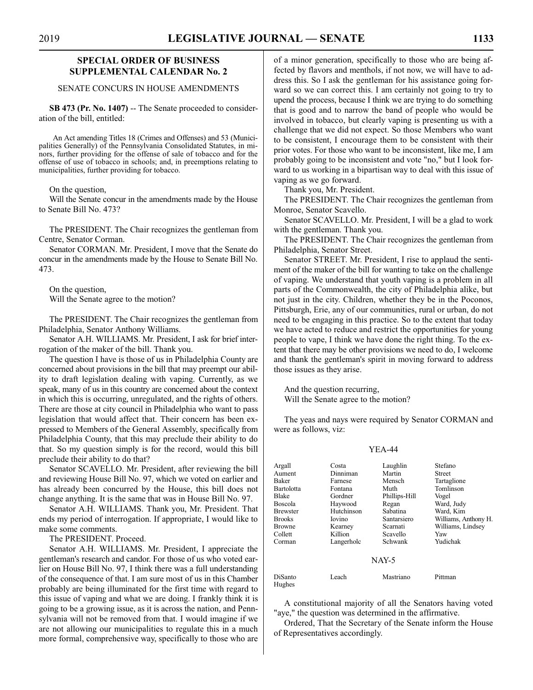#### **SPECIAL ORDER OF BUSINESS SUPPLEMENTAL CALENDAR No. 2**

#### SENATE CONCURS IN HOUSE AMENDMENTS

**SB 473 (Pr. No. 1407)** -- The Senate proceeded to consideration of the bill, entitled:

An Act amending Titles 18 (Crimes and Offenses) and 53 (Municipalities Generally) of the Pennsylvania Consolidated Statutes, in minors, further providing for the offense of sale of tobacco and for the offense of use of tobacco in schools; and, in preemptions relating to municipalities, further providing for tobacco.

On the question,

Will the Senate concur in the amendments made by the House to Senate Bill No. 473?

The PRESIDENT. The Chair recognizes the gentleman from Centre, Senator Corman.

Senator CORMAN. Mr. President, I move that the Senate do concur in the amendments made by the House to Senate Bill No. 473.

On the question, Will the Senate agree to the motion?

The PRESIDENT. The Chair recognizes the gentleman from Philadelphia, Senator Anthony Williams.

Senator A.H. WILLIAMS. Mr. President, I ask for brief interrogation of the maker of the bill. Thank you.

The question I have is those of us in Philadelphia County are concerned about provisions in the bill that may preempt our ability to draft legislation dealing with vaping. Currently, as we speak, many of us in this country are concerned about the context in which this is occurring, unregulated, and the rights of others. There are those at city council in Philadelphia who want to pass legislation that would affect that. Their concern has been expressed to Members of the General Assembly, specifically from Philadelphia County, that this may preclude their ability to do that. So my question simply is for the record, would this bill preclude their ability to do that?

Senator SCAVELLO. Mr. President, after reviewing the bill and reviewing House Bill No. 97, which we voted on earlier and has already been concurred by the House, this bill does not change anything. It is the same that was in House Bill No. 97.

Senator A.H. WILLIAMS. Thank you, Mr. President. That ends my period of interrogation. If appropriate, I would like to make some comments.

The PRESIDENT. Proceed.

Senator A.H. WILLIAMS. Mr. President, I appreciate the gentleman's research and candor. For those of us who voted earlier on House Bill No. 97, I think there was a full understanding of the consequence of that. I am sure most of us in this Chamber probably are being illuminated for the first time with regard to this issue of vaping and what we are doing. I frankly think it is going to be a growing issue, as it is across the nation, and Pennsylvania will not be removed from that. I would imagine if we are not allowing our municipalities to regulate this in a much more formal, comprehensive way, specifically to those who are of a minor generation, specifically to those who are being affected by flavors and menthols, if not now, we will have to address this. So I ask the gentleman for his assistance going forward so we can correct this. I am certainly not going to try to upend the process, because I think we are trying to do something that is good and to narrow the band of people who would be involved in tobacco, but clearly vaping is presenting us with a challenge that we did not expect. So those Members who want to be consistent, I encourage them to be consistent with their prior votes. For those who want to be inconsistent, like me, I am probably going to be inconsistent and vote "no," but I look forward to us working in a bipartisan way to deal with this issue of vaping as we go forward.

Thank you, Mr. President.

The PRESIDENT. The Chair recognizes the gentleman from Monroe, Senator Scavello.

Senator SCAVELLO. Mr. President, I will be a glad to work with the gentleman. Thank you.

The PRESIDENT. The Chair recognizes the gentleman from Philadelphia, Senator Street.

Senator STREET. Mr. President, I rise to applaud the sentiment of the maker of the bill for wanting to take on the challenge of vaping. We understand that youth vaping is a problem in all parts of the Commonwealth, the city of Philadelphia alike, but not just in the city. Children, whether they be in the Poconos, Pittsburgh, Erie, any of our communities, rural or urban, do not need to be engaging in this practice. So to the extent that today we have acted to reduce and restrict the opportunities for young people to vape, I think we have done the right thing. To the extent that there may be other provisions we need to do, I welcome and thank the gentleman's spirit in moving forward to address those issues as they arise.

And the question recurring, Will the Senate agree to the motion?

Hughes

The yeas and nays were required by Senator CORMAN and were as follows, viz:

#### YEA-44

| Argall     | Costa      | Laughlin      | Stefano              |
|------------|------------|---------------|----------------------|
| Aument     | Dinniman   | Martin        | Street               |
| Baker      | Farnese    | Mensch        | Tartaglione          |
| Bartolotta | Fontana    | Muth          | Tomlinson            |
| Blake      | Gordner    | Phillips-Hill | Vogel                |
| Boscola    | Haywood    | Regan         | Ward, Judy           |
| Brewster   | Hutchinson | Sabatina      | Ward, Kim            |
| Brooks     | Iovino     | Santarsiero   | Williams, Anthony H. |
| Browne     | Kearney    | Scarnati      | Williams, Lindsey    |
| Collett    | Killion    | Scavello      | Yaw                  |
| Corman     | Langerholc | Schwank       | Yudichak             |
|            |            | NAY-5         |                      |
| DiSanto    | Leach      | Mastriano     | Pittman              |

A constitutional majority of all the Senators having voted "aye," the question was determined in the affirmative.

Ordered, That the Secretary of the Senate inform the House of Representatives accordingly.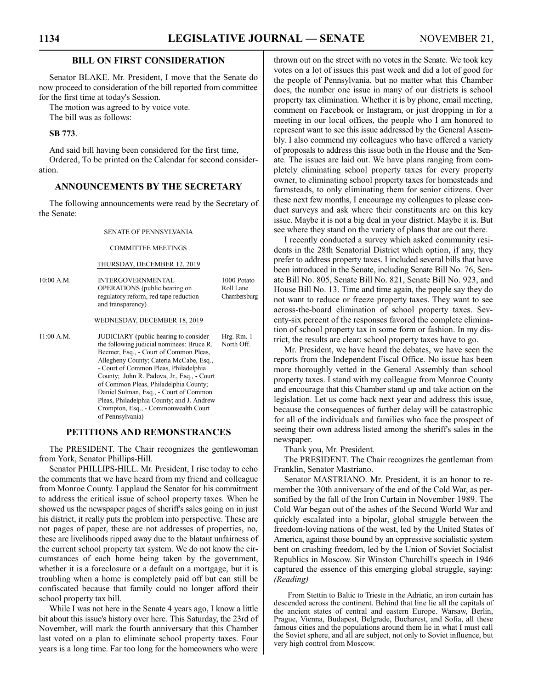#### **BILL ON FIRST CONSIDERATION**

Senator BLAKE. Mr. President, I move that the Senate do now proceed to consideration of the bill reported from committee for the first time at today's Session.

The motion was agreed to by voice vote. The bill was as follows:

#### **SB 773**.

And said bill having been considered for the first time, Ordered, To be printed on the Calendar for second consideration.

### **ANNOUNCEMENTS BY THE SECRETARY**

The following announcements were read by the Secretary of the Senate:

#### SENATE OF PENNSYLVANIA

#### COMMITTEE MEETINGS

#### THURSDAY, DECEMBER 12, 2019

| 10:00 A.M. | <b>INTERGOVERNMENTAL</b>              | 1000 Potato  |
|------------|---------------------------------------|--------------|
|            | <b>OPERATIONS</b> (public hearing on  | Roll Lane    |
|            | regulatory reform, red tape reduction | Chambersburg |
|            | and transparency)                     |              |

#### WEDNESDAY, DECEMBER 18, 2019

11:00 A.M. JUDICIARY (public hearing to consider Hrg. Rm. 1<br>the following indicial nominees: Bruce R North Off the following judicial nominees: Bruce R. Beemer, Esq., - Court of Common Pleas, Allegheny County; Cateria McCabe, Esq., - Court of Common Pleas, Philadelphia County; John R. Padova, Jr., Esq., - Court of Common Pleas, Philadelphia County; Daniel Sulman, Esq., - Court of Common Pleas, Philadelphia County; and J. Andrew Crompton, Esq., - Commonwealth Court of Pennsylvania)

#### **PETITIONS AND REMONSTRANCES**

The PRESIDENT. The Chair recognizes the gentlewoman from York, Senator Phillips-Hill.

Senator PHILLIPS-HILL. Mr. President, I rise today to echo the comments that we have heard from my friend and colleague from Monroe County. I applaud the Senator for his commitment to address the critical issue of school property taxes. When he showed us the newspaper pages of sheriff's sales going on in just his district, it really puts the problem into perspective. These are not pages of paper, these are not addresses of properties, no, these are livelihoods ripped away due to the blatant unfairness of the current school property tax system. We do not know the circumstances of each home being taken by the government, whether it is a foreclosure or a default on a mortgage, but it is troubling when a home is completely paid off but can still be confiscated because that family could no longer afford their school property tax bill.

While I was not here in the Senate 4 years ago, I know a little bit about this issue's history over here. This Saturday, the 23rd of November, will mark the fourth anniversary that this Chamber last voted on a plan to eliminate school property taxes. Four years is a long time. Far too long for the homeowners who were thrown out on the street with no votes in the Senate. We took key votes on a lot of issues this past week and did a lot of good for the people of Pennsylvania, but no matter what this Chamber does, the number one issue in many of our districts is school property tax elimination. Whether it is by phone, email meeting, comment on Facebook or Instagram, or just dropping in for a meeting in our local offices, the people who I am honored to represent want to see this issue addressed by the General Assembly. I also commend my colleagues who have offered a variety of proposals to address this issue both in the House and the Senate. The issues are laid out. We have plans ranging from completely eliminating school property taxes for every property owner, to eliminating school property taxes for homesteads and farmsteads, to only eliminating them for senior citizens. Over these next few months, I encourage my colleagues to please conduct surveys and ask where their constituents are on this key issue. Maybe it is not a big deal in your district. Maybe it is. But see where they stand on the variety of plans that are out there.

I recently conducted a survey which asked community residents in the 28th Senatorial District which option, if any, they prefer to address property taxes. I included several bills that have been introduced in the Senate, including Senate Bill No. 76, Senate Bill No. 805, Senate Bill No. 821, Senate Bill No. 923, and House Bill No. 13. Time and time again, the people say they do not want to reduce or freeze property taxes. They want to see across-the-board elimination of school property taxes. Seventy-six percent of the responses favored the complete elimination of school property tax in some form or fashion. In my district, the results are clear: school property taxes have to go.

Mr. President, we have heard the debates, we have seen the reports from the Independent Fiscal Office. No issue has been more thoroughly vetted in the General Assembly than school property taxes. I stand with my colleague from Monroe County and encourage that this Chamber stand up and take action on the legislation. Let us come back next year and address this issue, because the consequences of further delay will be catastrophic for all of the individuals and families who face the prospect of seeing their own address listed among the sheriff's sales in the newspaper.

Thank you, Mr. President.

The PRESIDENT. The Chair recognizes the gentleman from Franklin, Senator Mastriano.

Senator MASTRIANO. Mr. President, it is an honor to remember the 30th anniversary of the end of the Cold War, as personified by the fall of the Iron Curtain in November 1989. The Cold War began out of the ashes of the Second World War and quickly escalated into a bipolar, global struggle between the freedom-loving nations of the west, led by the United States of America, against those bound by an oppressive socialistic system bent on crushing freedom, led by the Union of Soviet Socialist Republics in Moscow. Sir Winston Churchill's speech in 1946 captured the essence of this emerging global struggle, saying: *(Reading)*

From Stettin to Baltic to Trieste in the Adriatic, an iron curtain has descended across the continent. Behind that line lie all the capitals of the ancient states of central and eastern Europe. Warsaw, Berlin, Prague, Vienna, Budapest, Belgrade, Bucharest, and Sofia, all these famous cities and the populations around them lie in what I must call the Soviet sphere, and all are subject, not only to Soviet influence, but very high control from Moscow.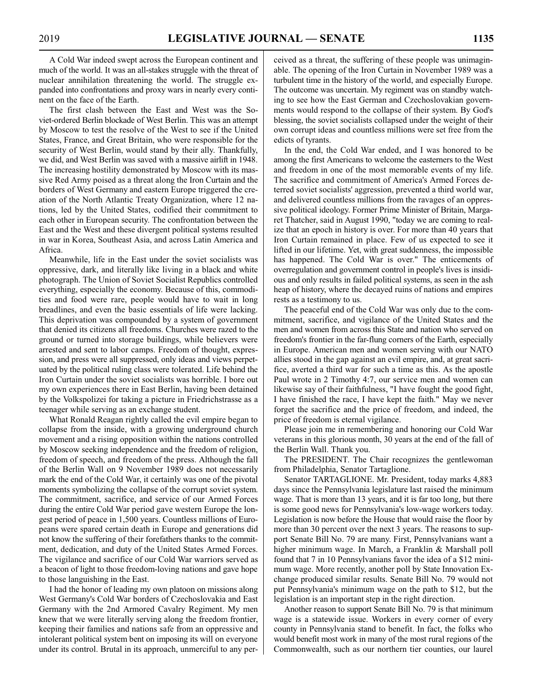A Cold War indeed swept across the European continent and much of the world. It was an all-stakes struggle with the threat of nuclear annihilation threatening the world. The struggle expanded into confrontations and proxy wars in nearly every continent on the face of the Earth.

The first clash between the East and West was the Soviet-ordered Berlin blockade of West Berlin. This was an attempt by Moscow to test the resolve of the West to see if the United States, France, and Great Britain, who were responsible for the security of West Berlin, would stand by their ally. Thankfully, we did, and West Berlin was saved with a massive airlift in 1948. The increasing hostility demonstrated by Moscow with its massive Red Army poised as a threat along the Iron Curtain and the borders of West Germany and eastern Europe triggered the creation of the North Atlantic Treaty Organization, where 12 nations, led by the United States, codified their commitment to each other in European security. The confrontation between the East and the West and these divergent political systems resulted in war in Korea, Southeast Asia, and across Latin America and Africa.

Meanwhile, life in the East under the soviet socialists was oppressive, dark, and literally like living in a black and white photograph. The Union of Soviet Socialist Republics controlled everything, especially the economy. Because of this, commodities and food were rare, people would have to wait in long breadlines, and even the basic essentials of life were lacking. This deprivation was compounded by a system of government that denied its citizens all freedoms. Churches were razed to the ground or turned into storage buildings, while believers were arrested and sent to labor camps. Freedom of thought, expression, and press were all suppressed, only ideas and views perpetuated by the political ruling class were tolerated. Life behind the Iron Curtain under the soviet socialists was horrible. I bore out my own experiences there in East Berlin, having been detained by the Volkspolizei for taking a picture in Friedrichstrasse as a teenager while serving as an exchange student.

What Ronald Reagan rightly called the evil empire began to collapse from the inside, with a growing underground church movement and a rising opposition within the nations controlled by Moscow seeking independence and the freedom of religion, freedom of speech, and freedom of the press. Although the fall of the Berlin Wall on 9 November 1989 does not necessarily mark the end of the Cold War, it certainly was one of the pivotal moments symbolizing the collapse of the corrupt soviet system. The commitment, sacrifice, and service of our Armed Forces during the entire Cold War period gave western Europe the longest period of peace in 1,500 years. Countless millions of Europeans were spared certain death in Europe and generations did not know the suffering of their forefathers thanks to the commitment, dedication, and duty of the United States Armed Forces. The vigilance and sacrifice of our Cold War warriors served as a beacon of light to those freedom-loving nations and gave hope to those languishing in the East.

I had the honor of leading my own platoon on missions along West Germany's Cold War borders of Czechoslovakia and East Germany with the 2nd Armored Cavalry Regiment. My men knew that we were literally serving along the freedom frontier, keeping their families and nations safe from an oppressive and intolerant political system bent on imposing its will on everyone under its control. Brutal in its approach, unmerciful to any perceived as a threat, the suffering of these people was unimaginable. The opening of the Iron Curtain in November 1989 was a turbulent time in the history of the world, and especially Europe. The outcome was uncertain. My regiment was on standby watching to see how the East German and Czechoslovakian governments would respond to the collapse of their system. By God's blessing, the soviet socialists collapsed under the weight of their own corrupt ideas and countless millions were set free from the edicts of tyrants.

In the end, the Cold War ended, and I was honored to be among the first Americans to welcome the easterners to the West and freedom in one of the most memorable events of my life. The sacrifice and commitment of America's Armed Forces deterred soviet socialists' aggression, prevented a third world war, and delivered countless millions from the ravages of an oppressive political ideology. Former Prime Minister of Britain, Margaret Thatcher, said in August 1990, "today we are coming to realize that an epoch in history is over. For more than 40 years that Iron Curtain remained in place. Few of us expected to see it lifted in our lifetime. Yet, with great suddenness, the impossible has happened. The Cold War is over." The enticements of overregulation and government control in people's lives is insidious and only results in failed political systems, as seen in the ash heap of history, where the decayed ruins of nations and empires rests as a testimony to us.

The peaceful end of the Cold War was only due to the commitment, sacrifice, and vigilance of the United States and the men and women from across this State and nation who served on freedom's frontier in the far-flung corners of the Earth, especially in Europe. American men and women serving with our NATO allies stood in the gap against an evil empire, and, at great sacrifice, averted a third war for such a time as this. As the apostle Paul wrote in 2 Timothy 4:7, our service men and women can likewise say of their faithfulness, "I have fought the good fight, I have finished the race, I have kept the faith." May we never forget the sacrifice and the price of freedom, and indeed, the price of freedom is eternal vigilance.

Please join me in remembering and honoring our Cold War veterans in this glorious month, 30 years at the end of the fall of the Berlin Wall. Thank you.

The PRESIDENT. The Chair recognizes the gentlewoman from Philadelphia, Senator Tartaglione.

Senator TARTAGLIONE. Mr. President, today marks 4,883 days since the Pennsylvania legislature last raised the minimum wage. That is more than 13 years, and it is far too long, but there is some good news for Pennsylvania's low-wage workers today. Legislation is now before the House that would raise the floor by more than 30 percent over the next 3 years. The reasons to support Senate Bill No. 79 are many. First, Pennsylvanians want a higher minimum wage. In March, a Franklin & Marshall poll found that 7 in 10 Pennsylvanians favor the idea of a \$12 minimum wage. More recently, another poll by State Innovation Exchange produced similar results. Senate Bill No. 79 would not put Pennsylvania's minimum wage on the path to \$12, but the legislation is an important step in the right direction.

Another reason to support Senate Bill No. 79 is that minimum wage is a statewide issue. Workers in every corner of every county in Pennsylvania stand to benefit. In fact, the folks who would benefit most work in many of the most rural regions of the Commonwealth, such as our northern tier counties, our laurel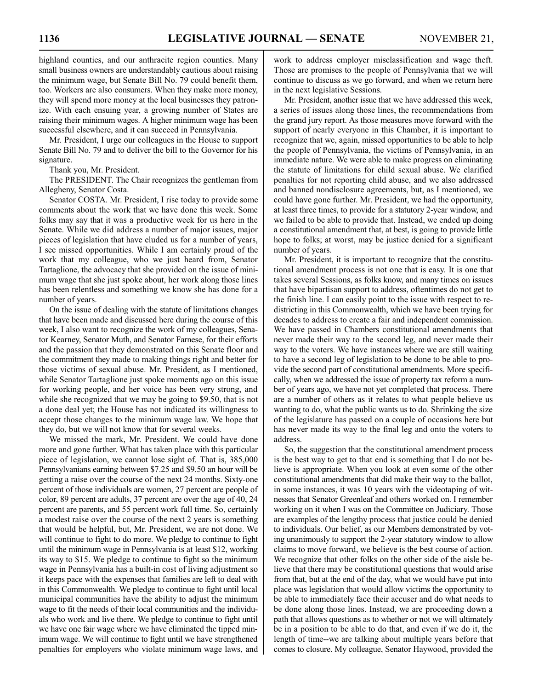highland counties, and our anthracite region counties. Many small business owners are understandably cautious about raising the minimum wage, but Senate Bill No. 79 could benefit them, too. Workers are also consumers. When they make more money,

they will spend more money at the local businesses they patronize. With each ensuing year, a growing number of States are raising their minimum wages. A higher minimum wage has been successful elsewhere, and it can succeed in Pennsylvania.

Mr. President, I urge our colleagues in the House to support Senate Bill No. 79 and to deliver the bill to the Governor for his signature.

Thank you, Mr. President.

The PRESIDENT. The Chair recognizes the gentleman from Allegheny, Senator Costa.

Senator COSTA. Mr. President, I rise today to provide some comments about the work that we have done this week. Some folks may say that it was a productive week for us here in the Senate. While we did address a number of major issues, major pieces of legislation that have eluded us for a number of years, I see missed opportunities. While I am certainly proud of the work that my colleague, who we just heard from, Senator Tartaglione, the advocacy that she provided on the issue of minimum wage that she just spoke about, her work along those lines has been relentless and something we know she has done for a number of years.

On the issue of dealing with the statute of limitations changes that have been made and discussed here during the course of this week, I also want to recognize the work of my colleagues, Senator Kearney, Senator Muth, and Senator Farnese, for their efforts and the passion that they demonstrated on this Senate floor and the commitment they made to making things right and better for those victims of sexual abuse. Mr. President, as I mentioned, while Senator Tartaglione just spoke moments ago on this issue for working people, and her voice has been very strong, and while she recognized that we may be going to \$9.50, that is not a done deal yet; the House has not indicated its willingness to accept those changes to the minimum wage law. We hope that they do, but we will not know that for several weeks.

We missed the mark, Mr. President. We could have done more and gone further. What has taken place with this particular piece of legislation, we cannot lose sight of. That is, 385,000 Pennsylvanians earning between \$7.25 and \$9.50 an hour will be getting a raise over the course of the next 24 months. Sixty-one percent of those individuals are women, 27 percent are people of color, 89 percent are adults, 37 percent are over the age of 40, 24 percent are parents, and 55 percent work full time. So, certainly a modest raise over the course of the next 2 years is something that would be helpful, but, Mr. President, we are not done. We will continue to fight to do more. We pledge to continue to fight until the minimum wage in Pennsylvania is at least \$12, working its way to \$15. We pledge to continue to fight so the minimum wage in Pennsylvania has a built-in cost of living adjustment so it keeps pace with the expenses that families are left to deal with in this Commonwealth. We pledge to continue to fight until local municipal communities have the ability to adjust the minimum wage to fit the needs of their local communities and the individuals who work and live there. We pledge to continue to fight until we have one fair wage where we have eliminated the tipped minimum wage. We will continue to fight until we have strengthened penalties for employers who violate minimum wage laws, and work to address employer misclassification and wage theft. Those are promises to the people of Pennsylvania that we will continue to discuss as we go forward, and when we return here in the next legislative Sessions.

Mr. President, another issue that we have addressed this week, a series of issues along those lines, the recommendations from the grand jury report. As those measures move forward with the support of nearly everyone in this Chamber, it is important to recognize that we, again, missed opportunities to be able to help the people of Pennsylvania, the victims of Pennsylvania, in an immediate nature. We were able to make progress on eliminating the statute of limitations for child sexual abuse. We clarified penalties for not reporting child abuse, and we also addressed and banned nondisclosure agreements, but, as I mentioned, we could have gone further. Mr. President, we had the opportunity, at least three times, to provide for a statutory 2-year window, and we failed to be able to provide that. Instead, we ended up doing a constitutional amendment that, at best, is going to provide little hope to folks; at worst, may be justice denied for a significant number of years.

Mr. President, it is important to recognize that the constitutional amendment process is not one that is easy. It is one that takes several Sessions, as folks know, and many times on issues that have bipartisan support to address, oftentimes do not get to the finish line. I can easily point to the issue with respect to redistricting in this Commonwealth, which we have been trying for decades to address to create a fair and independent commission. We have passed in Chambers constitutional amendments that never made their way to the second leg, and never made their way to the voters. We have instances where we are still waiting to have a second leg of legislation to be done to be able to provide the second part of constitutional amendments. More specifically, when we addressed the issue of property tax reform a number of years ago, we have not yet completed that process. There are a number of others as it relates to what people believe us wanting to do, what the public wants us to do. Shrinking the size of the legislature has passed on a couple of occasions here but has never made its way to the final leg and onto the voters to address.

So, the suggestion that the constitutional amendment process is the best way to get to that end is something that I do not believe is appropriate. When you look at even some of the other constitutional amendments that did make their way to the ballot, in some instances, it was 10 years with the videotaping of witnesses that Senator Greenleaf and others worked on. I remember working on it when I was on the Committee on Judiciary. Those are examples of the lengthy process that justice could be denied to individuals. Our belief, as our Members demonstrated by voting unanimously to support the 2-year statutory window to allow claims to move forward, we believe is the best course of action. We recognize that other folks on the other side of the aisle believe that there may be constitutional questions that would arise from that, but at the end of the day, what we would have put into place was legislation that would allow victims the opportunity to be able to immediately face their accuser and do what needs to be done along those lines. Instead, we are proceeding down a path that allows questions as to whether or not we will ultimately be in a position to be able to do that, and even if we do it, the length of time--we are talking about multiple years before that comes to closure. My colleague, Senator Haywood, provided the